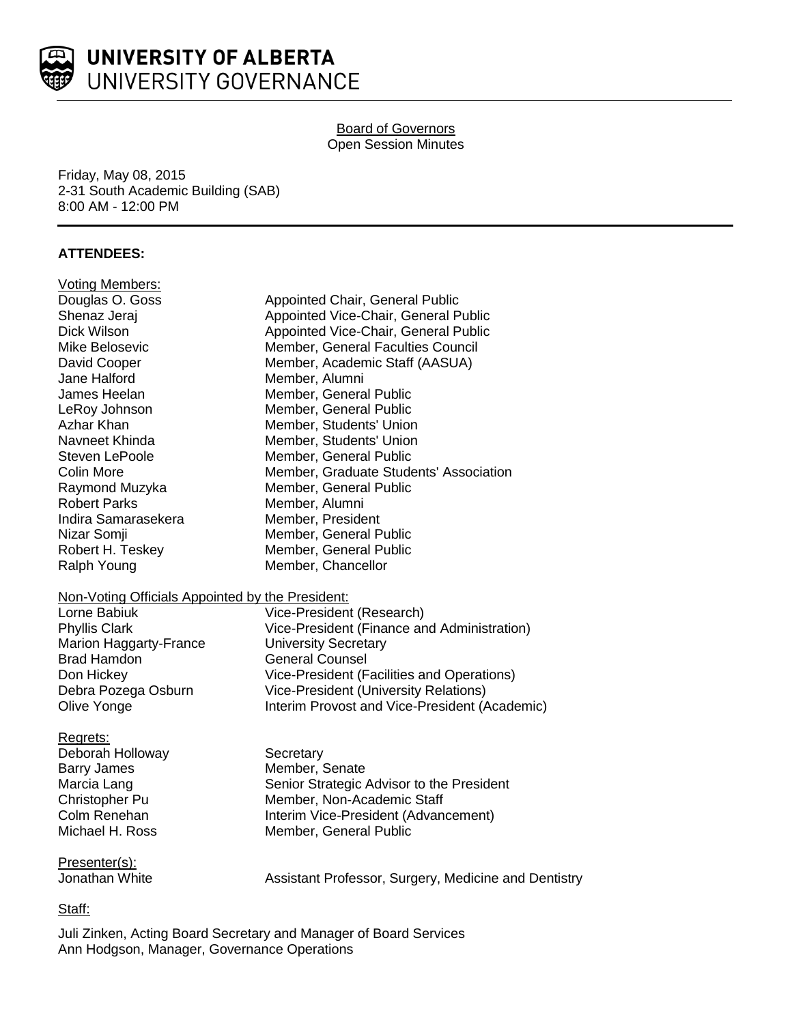

# UNIVERSITY OF ALBERTA UNIVERSITY GOVERNANCE

# Board of Governors Open Session Minutes

Friday, May 08, 2015 2-31 South Academic Building (SAB) 8:00 AM - 12:00 PM

# **ATTENDEES:**

| Voting Members:                                  |                                                      |
|--------------------------------------------------|------------------------------------------------------|
| Douglas O. Goss                                  | Appointed Chair, General Public                      |
| Shenaz Jeraj                                     | Appointed Vice-Chair, General Public                 |
| Dick Wilson                                      | Appointed Vice-Chair, General Public                 |
| Mike Belosevic                                   | Member, General Faculties Council                    |
| David Cooper                                     | Member, Academic Staff (AASUA)                       |
| Jane Halford                                     | Member, Alumni                                       |
| James Heelan                                     | Member, General Public                               |
| LeRoy Johnson                                    | Member, General Public                               |
| Azhar Khan                                       | Member, Students' Union                              |
| Navneet Khinda                                   | Member, Students' Union                              |
| <b>Steven LePoole</b>                            | Member, General Public                               |
| Colin More                                       | Member, Graduate Students' Association               |
| Raymond Muzyka                                   | Member, General Public                               |
| <b>Robert Parks</b>                              | Member, Alumni                                       |
| Indira Samarasekera                              | Member, President                                    |
| Nizar Somji                                      | Member, General Public                               |
| Robert H. Teskey                                 | Member, General Public                               |
| Ralph Young                                      | Member, Chancellor                                   |
|                                                  |                                                      |
| Non-Voting Officials Appointed by the President: |                                                      |
| Lorne Babiuk                                     | Vice-President (Research)                            |
| <b>Phyllis Clark</b>                             | Vice-President (Finance and Administration)          |
| <b>Marion Haggarty-France</b>                    | <b>University Secretary</b>                          |
| <b>Brad Hamdon</b>                               | <b>General Counsel</b>                               |
| Don Hickey                                       | Vice-President (Facilities and Operations)           |
| Debra Pozega Osburn                              | <b>Vice-President (University Relations)</b>         |
| Olive Yonge                                      | Interim Provost and Vice-President (Academic)        |
| Regrets:                                         |                                                      |
| Deborah Holloway                                 | Secretary                                            |
| <b>Barry James</b>                               | Member, Senate                                       |
| Marcia Lang                                      | Senior Strategic Advisor to the President            |
| Christopher Pu                                   | Member, Non-Academic Staff                           |
| Colm Renehan                                     | Interim Vice-President (Advancement)                 |
| Michael H. Ross                                  | Member, General Public                               |
|                                                  |                                                      |
| Presenter(s):                                    |                                                      |
| Jonathan White                                   | Assistant Professor, Surgery, Medicine and Dentistry |
|                                                  |                                                      |

Staff:

Juli Zinken, Acting Board Secretary and Manager of Board Services Ann Hodgson, Manager, Governance Operations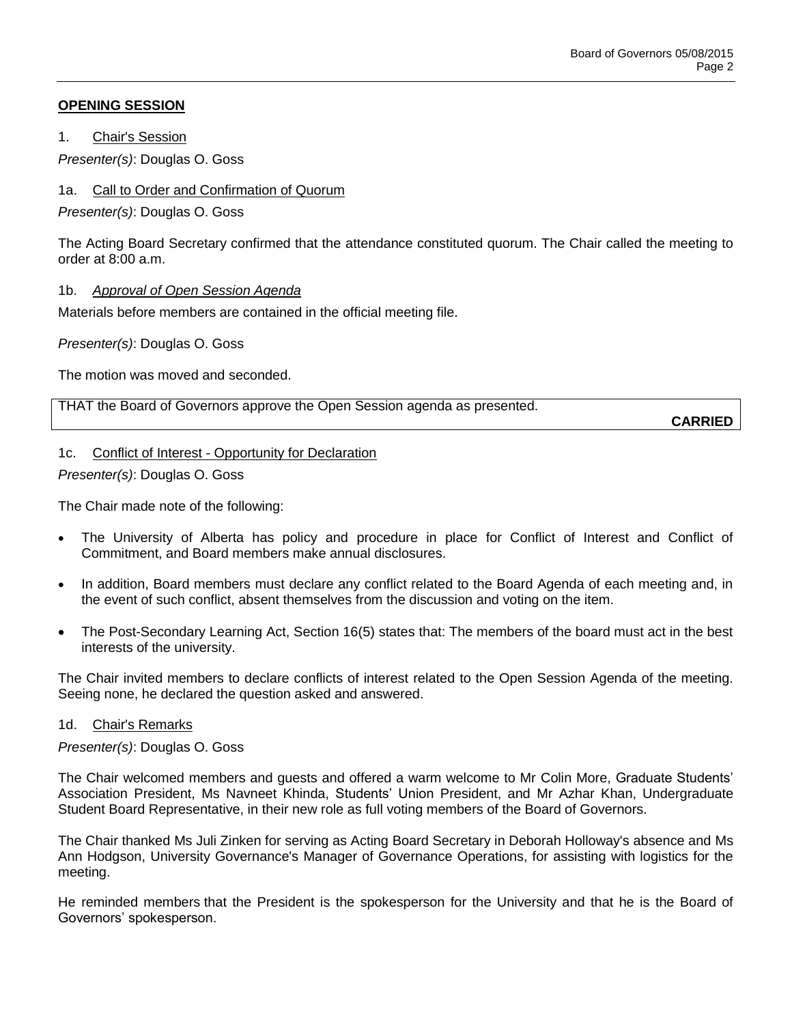## **OPENING SESSION**

1. Chair's Session

*Presenter(s)*: Douglas O. Goss

1a. Call to Order and Confirmation of Quorum

*Presenter(s)*: Douglas O. Goss

The Acting Board Secretary confirmed that the attendance constituted quorum. The Chair called the meeting to order at 8:00 a.m.

#### 1b. *Approval of Open Session Agenda*

Materials before members are contained in the official meeting file.

*Presenter(s)*: Douglas O. Goss

The motion was moved and seconded.

THAT the Board of Governors approve the Open Session agenda as presented.

**CARRIED**

#### 1c. Conflict of Interest - Opportunity for Declaration

*Presenter(s)*: Douglas O. Goss

The Chair made note of the following:

- The University of Alberta has policy and procedure in place for Conflict of Interest and Conflict of Commitment, and Board members make annual disclosures.
- In addition, Board members must declare any conflict related to the Board Agenda of each meeting and, in the event of such conflict, absent themselves from the discussion and voting on the item.
- The Post-Secondary Learning Act, Section 16(5) states that: The members of the board must act in the best interests of the university.

The Chair invited members to declare conflicts of interest related to the Open Session Agenda of the meeting. Seeing none, he declared the question asked and answered.

#### 1d. Chair's Remarks

*Presenter(s)*: Douglas O. Goss

The Chair welcomed members and guests and offered a warm welcome to Mr Colin More, Graduate Students' Association President, Ms Navneet Khinda, Students' Union President, and Mr Azhar Khan, Undergraduate Student Board Representative, in their new role as full voting members of the Board of Governors.

The Chair thanked Ms Juli Zinken for serving as Acting Board Secretary in Deborah Holloway's absence and Ms Ann Hodgson, University Governance's Manager of Governance Operations, for assisting with logistics for the meeting.

He reminded members that the President is the spokesperson for the University and that he is the Board of Governors' spokesperson.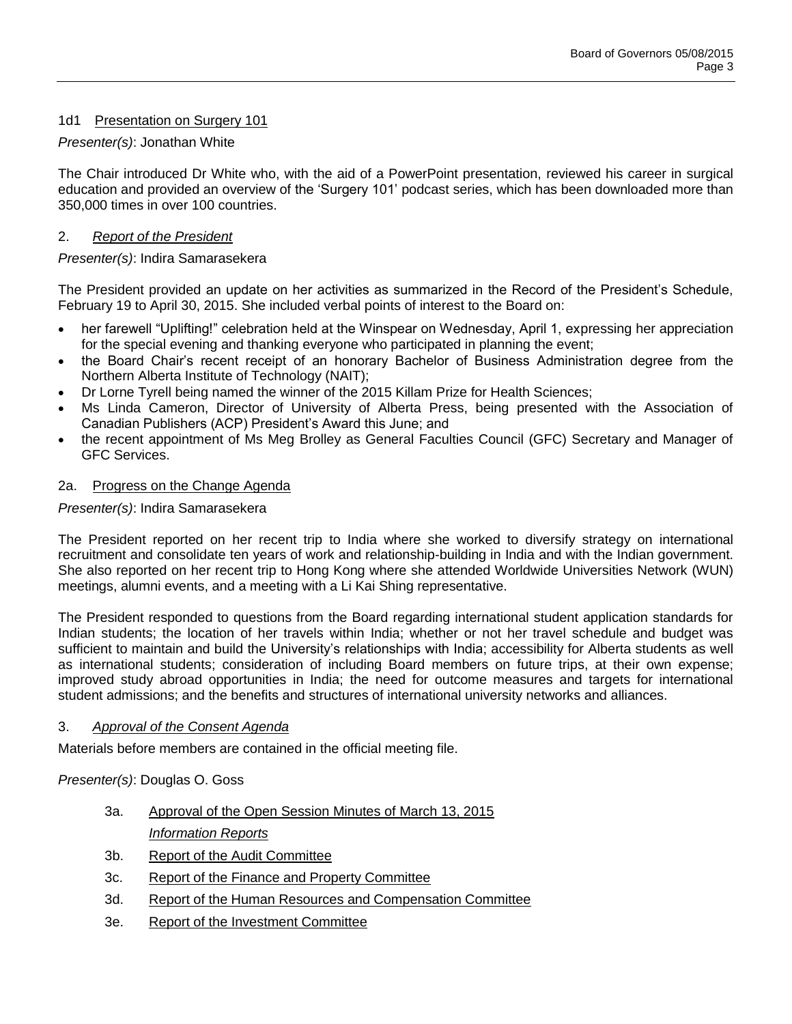# 1d1 Presentation on Surgery 101

## *Presenter(s)*: Jonathan White

The Chair introduced Dr White who, with the aid of a PowerPoint presentation, reviewed his career in surgical education and provided an overview of the 'Surgery 101' podcast series, which has been downloaded more than 350,000 times in over 100 countries.

# 2. *Report of the President*

# *Presenter(s)*: Indira Samarasekera

The President provided an update on her activities as summarized in the Record of the President's Schedule, February 19 to April 30, 2015. She included verbal points of interest to the Board on:

- her farewell "Uplifting!" celebration held at the Winspear on Wednesday, April 1, expressing her appreciation for the special evening and thanking everyone who participated in planning the event;
- the Board Chair's recent receipt of an honorary Bachelor of Business Administration degree from the Northern Alberta Institute of Technology (NAIT);
- Dr Lorne Tyrell being named the winner of the 2015 Killam Prize for Health Sciences;
- Ms Linda Cameron, Director of University of Alberta Press, being presented with the Association of Canadian Publishers (ACP) President's Award this June; and
- the recent appointment of Ms Meg Brolley as General Faculties Council (GFC) Secretary and Manager of GFC Services.

### 2a. Progress on the Change Agenda

### *Presenter(s)*: Indira Samarasekera

The President reported on her recent trip to India where she worked to diversify strategy on international recruitment and consolidate ten years of work and relationship-building in India and with the Indian government. She also reported on her recent trip to Hong Kong where she attended Worldwide Universities Network (WUN) meetings, alumni events, and a meeting with a Li Kai Shing representative.

The President responded to questions from the Board regarding international student application standards for Indian students; the location of her travels within India; whether or not her travel schedule and budget was sufficient to maintain and build the University's relationships with India; accessibility for Alberta students as well as international students; consideration of including Board members on future trips, at their own expense; improved study abroad opportunities in India; the need for outcome measures and targets for international student admissions; and the benefits and structures of international university networks and alliances.

### 3. *Approval of the Consent Agenda*

Materials before members are contained in the official meeting file.

*Presenter(s)*: Douglas O. Goss

- 3a. Approval of the Open Session Minutes of March 13, 2015 *Information Reports*
- 3b. Report of the Audit Committee
- 3c. Report of the Finance and Property Committee
- 3d. Report of the Human Resources and Compensation Committee
- 3e. Report of the Investment Committee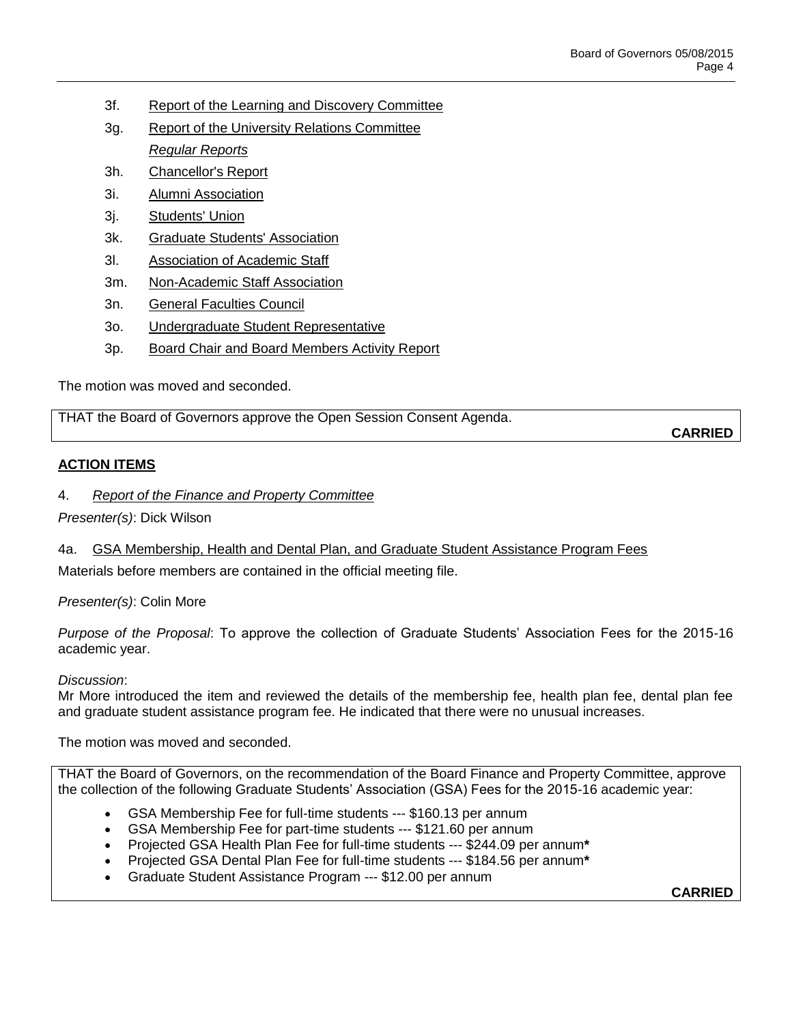- 3f. Report of the Learning and Discovery Committee
- 3g. Report of the University Relations Committee *Regular Reports*
- 3h. Chancellor's Report
- 3i. Alumni Association
- 3j. Students' Union
- 3k. Graduate Students' Association
- 3l. Association of Academic Staff
- 3m. Non-Academic Staff Association
- 3n. General Faculties Council
- 3o. Undergraduate Student Representative
- 3p. Board Chair and Board Members Activity Report

The motion was moved and seconded.

THAT the Board of Governors approve the Open Session Consent Agenda.

### **ACTION ITEMS**

### 4. *Report of the Finance and Property Committee*

*Presenter(s)*: Dick Wilson

### 4a. GSA Membership, Health and Dental Plan, and Graduate Student Assistance Program Fees

Materials before members are contained in the official meeting file.

*Presenter(s)*: Colin More

*Purpose of the Proposal*: To approve the collection of Graduate Students' Association Fees for the 2015-16 academic year.

#### *Discussion*:

Mr More introduced the item and reviewed the details of the membership fee, health plan fee, dental plan fee and graduate student assistance program fee. He indicated that there were no unusual increases.

The motion was moved and seconded.

THAT the Board of Governors, on the recommendation of the Board Finance and Property Committee, approve the collection of the following Graduate Students' Association (GSA) Fees for the 2015-16 academic year:

- GSA Membership Fee for full-time students --- \$160.13 per annum
- GSA Membership Fee for part-time students --- \$121.60 per annum
- Projected GSA Health Plan Fee for full-time students --- \$244.09 per annum**\***
- Projected GSA Dental Plan Fee for full-time students --- \$184.56 per annum**\***
- Graduate Student Assistance Program --- \$12.00 per annum

**CARRIED**

**CARRIED**